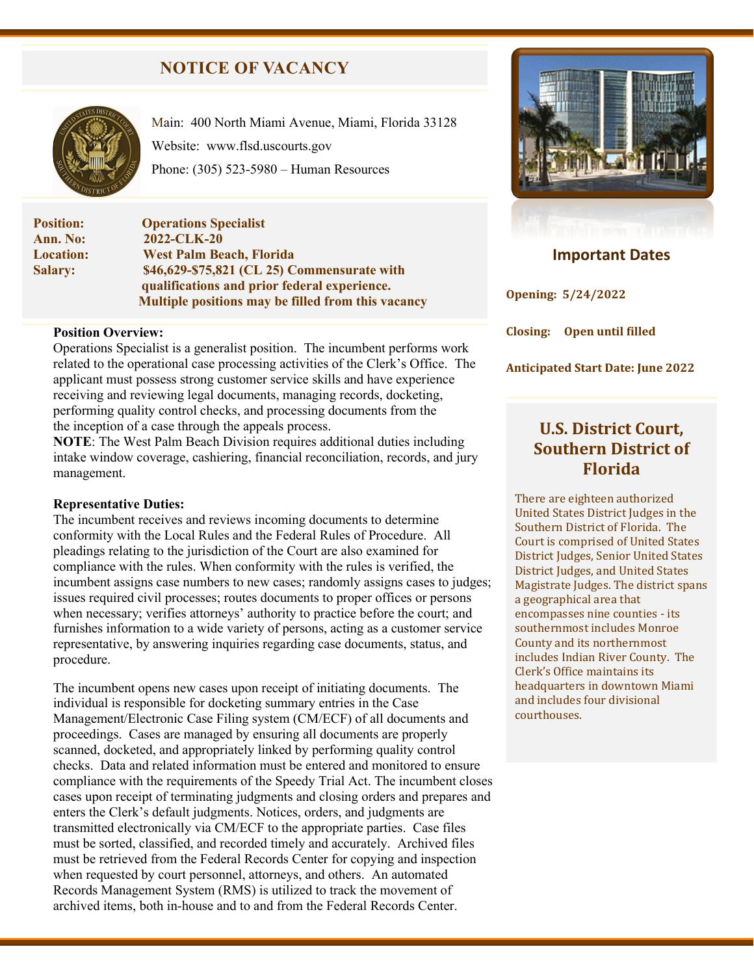# **NOTICE OF VACANCY**



Main: 400 North Miami Avenue, Miami, Florida 33128 Website: [www.flsd.uscourts.gov](http://www.flsd.uscourts.gov/) Phone: (305) 523-5980 – Human Resources

**Position: Operations Specialist Ann. No:** 2022-CLK-20<br> **Location:** West Palm Be. **Location: West Palm Beach, Florida Salary: \$46,629-\$75,821 (CL 25) Commensurate with qualifications and prior federal experience. Multiple positions may be filled from this vacancy**

#### **Position Overview:**

Operations Specialist is a generalist position. The incumbent performs work related to the operational case processing activities of the Clerk's Office. The applicant must possess strong customer service skills and have experience receiving and reviewing legal documents, managing records, docketing, performing quality control checks, and processing documents from the the inception of a case through the appeals process.

**NOTE**: The West Palm Beach Division requires additional duties including intake window coverage, cashiering, financial reconciliation, records, and jury management.

#### **Representative Duties:**

The incumbent receives and reviews incoming documents to determine conformity with the Local Rules and the Federal Rules of Procedure. All pleadings relating to the jurisdiction of the Court are also examined for compliance with the rules. When conformity with the rules is verified, the incumbent assigns case numbers to new cases; randomly assigns cases to judges; issues required civil processes; routes documents to proper offices or persons when necessary; verifies attorneys' authority to practice before the court; and furnishes information to a wide variety of persons, acting as a customer service representative, by answering inquiries regarding case documents, status, and procedure.

The incumbent opens new cases upon receipt of initiating documents. The individual is responsible for docketing summary entries in the Case Management/Electronic Case Filing system (CM/ECF) of all documents and proceedings. Cases are managed by ensuring all documents are properly scanned, docketed, and appropriately linked by performing quality control checks. Data and related information must be entered and monitored to ensure compliance with the requirements of the Speedy Trial Act. The incumbent closes cases upon receipt of terminating judgments and closing orders and prepares and enters the Clerk's default judgments. Notices, orders, and judgments are transmitted electronically via CM/ECF to the appropriate parties. Case files must be sorted, classified, and recorded timely and accurately. Archived files must be retrieved from the Federal Records Center for copying and inspection when requested by court personnel, attorneys, and others. An automated Records Management System (RMS) is utilized to track the movement of archived items, both in-house and to and from the Federal Records Center.



## **Important Dates**

**Opening: 5/24/2022**

**Closing: Open until filled**

**Anticipated Start Date: June 2022**

# **U.S. District Court, Southern District of Florida**

There are eighteen authorized United States District Judges in the Southern District of Florida. The Court is comprised of United States District Judges, Senior United States District Judges, and United States Magistrate Judges. The district spans a geographical area that encompasses nine counties - its southernmost includes Monroe County and its northernmost includes Indian River County. The Clerk's Office maintains its headquarters in downtown Miami and includes four divisional courthouses.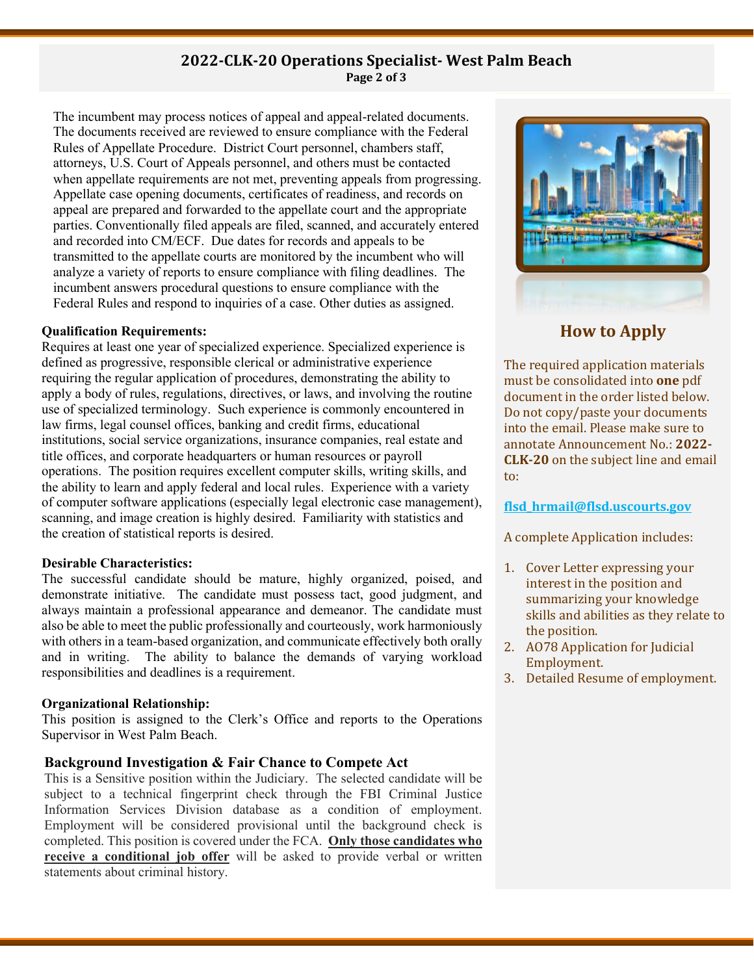# **2022-CLK-20 Operations Specialist- West Palm Beach Page 2 of 3**

The incumbent may process notices of appeal and appeal-related documents. The documents received are reviewed to ensure compliance with the Federal Rules of Appellate Procedure. District Court personnel, chambers staff, attorneys, U.S. Court of Appeals personnel, and others must be contacted when appellate requirements are not met, preventing appeals from progressing. Appellate case opening documents, certificates of readiness, and records on appeal are prepared and forwarded to the appellate court and the appropriate parties. Conventionally filed appeals are filed, scanned, and accurately entered and recorded into CM/ECF. Due dates for records and appeals to be transmitted to the appellate courts are monitored by the incumbent who will analyze a variety of reports to ensure compliance with filing deadlines. The incumbent answers procedural questions to ensure compliance with the Federal Rules and respond to inquiries of a case. Other duties as assigned.

#### **Qualification Requirements:**

Requires at least one year of specialized experience. Specialized experience is defined as progressive, responsible clerical or administrative experience requiring the regular application of procedures, demonstrating the ability to apply a body of rules, regulations, directives, or laws, and involving the routine use of specialized terminology. Such experience is commonly encountered in law firms, legal counsel offices, banking and credit firms, educational institutions, social service organizations, insurance companies, real estate and title offices, and corporate headquarters or human resources or payroll operations. The position requires excellent computer skills, writing skills, and the ability to learn and apply federal and local rules. Experience with a variety of computer software applications (especially legal electronic case management), scanning, and image creation is highly desired. Familiarity with statistics and the creation of statistical reports is desired.

#### **Desirable Characteristics:**

The successful candidate should be mature, highly organized, poised, and demonstrate initiative. The candidate must possess tact, good judgment, and always maintain a professional appearance and demeanor. The candidate must also be able to meet the public professionally and courteously, work harmoniously with others in a team-based organization, and communicate effectively both orally and in writing. The ability to balance the demands of varying workload responsibilities and deadlines is a requirement.

## **Organizational Relationship:**

This position is assigned to the Clerk's Office and reports to the Operations Supervisor in West Palm Beach.

## **Background Investigation & Fair Chance to Compete Act**

This is a Sensitive position within the Judiciary. The selected candidate will be subject to a technical fingerprint check through the FBI Criminal Justice Information Services Division database as a condition of employment. Employment will be considered provisional until the background check is completed. This position is covered under the FCA. **Only those candidates who receive a conditional job offer** will be asked to provide verbal or written statements about criminal history.



**How to Apply**

The required application materials must be consolidated into **one** pdf document in the order listed below. Do not copy/paste your documents into the email. Please make sure to annotate Announcement No.: **2022- CLK-20** on the subject line and email to:

#### **[flsd\\_hrmail@flsd.uscourts.gov](mailto:flsd_hrmail@flsd.uscourts.gov)**

A complete Application includes:

- 1. Cover Letter expressing your interest in the position and summarizing your knowledge skills and abilities as they relate to the position.
- 2. AO78 Application for Judicial Employment.
- 3. Detailed Resume of employment.